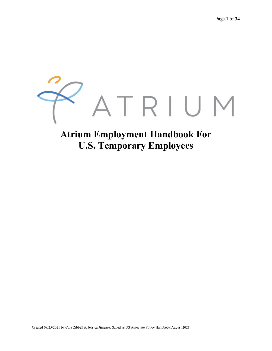ATRIUM  $\sqrt{ }$ 

# **Atrium Employment Handbook For U.S. Temporary Employees**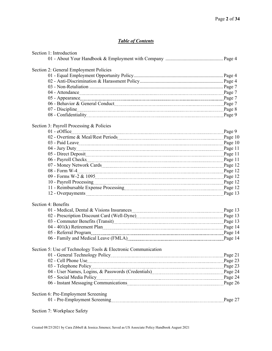# *Table of Contents*

| Section 1: Introduction                                                                                                                                                                                                       |         |
|-------------------------------------------------------------------------------------------------------------------------------------------------------------------------------------------------------------------------------|---------|
|                                                                                                                                                                                                                               |         |
|                                                                                                                                                                                                                               |         |
| Section 2: General Employment Policies                                                                                                                                                                                        |         |
|                                                                                                                                                                                                                               |         |
|                                                                                                                                                                                                                               |         |
|                                                                                                                                                                                                                               |         |
| 04 - Attendance Page 7                                                                                                                                                                                                        |         |
| 05 - Appearance Page 7<br>06 - Behavior & General Conduct [11] Page 7                                                                                                                                                         |         |
|                                                                                                                                                                                                                               |         |
| 07 - Discipline Page 8                                                                                                                                                                                                        |         |
|                                                                                                                                                                                                                               |         |
| Section 3: Payroll Processing & Policies                                                                                                                                                                                      |         |
|                                                                                                                                                                                                                               | Page 9  |
|                                                                                                                                                                                                                               |         |
| 03 - Paid Leave Page 10                                                                                                                                                                                                       |         |
| 04 - Jury Duty 11                                                                                                                                                                                                             |         |
|                                                                                                                                                                                                                               |         |
|                                                                                                                                                                                                                               |         |
|                                                                                                                                                                                                                               |         |
|                                                                                                                                                                                                                               |         |
|                                                                                                                                                                                                                               |         |
|                                                                                                                                                                                                                               |         |
|                                                                                                                                                                                                                               |         |
|                                                                                                                                                                                                                               | Page 13 |
| Section 4: Benefits                                                                                                                                                                                                           |         |
| 01 - Medical, Dental & Visions Insurances [11] Days and Medical, Dental & Visions Insurances [13] Days and Medical, Dental & Visions Insurances [13] Days and Medical, Dental & Visions Insurances [13] Days and Medical Anna |         |
| 02 - Prescription Discount Card (Well-Dyne) [11] The Page 13 Page 13                                                                                                                                                          |         |
|                                                                                                                                                                                                                               |         |
|                                                                                                                                                                                                                               |         |
|                                                                                                                                                                                                                               |         |
|                                                                                                                                                                                                                               |         |
| Section 5: Use of Technology Tools & Electronic Communication                                                                                                                                                                 |         |
|                                                                                                                                                                                                                               |         |
|                                                                                                                                                                                                                               |         |
| 02 - Cell Phone Use Page 23                                                                                                                                                                                                   |         |
| 03 - Telephone Policy Page 23<br>04 - User Names, Logins, & Passwords (Credentials) 2014 - User Names, Logins, & Passwords (Credentials) 2014                                                                                 |         |
|                                                                                                                                                                                                                               |         |
|                                                                                                                                                                                                                               |         |
|                                                                                                                                                                                                                               |         |
| Section 6: Pre-Employment Screening                                                                                                                                                                                           |         |
|                                                                                                                                                                                                                               |         |
| Section 7: Workplace Safety                                                                                                                                                                                                   |         |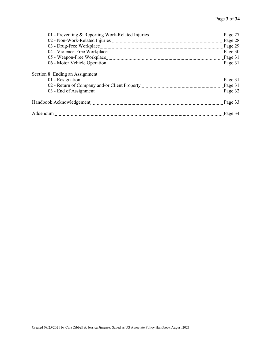|                                                                                                                 | Page 27 |
|-----------------------------------------------------------------------------------------------------------------|---------|
|                                                                                                                 | Page 28 |
|                                                                                                                 | Page 29 |
|                                                                                                                 | Page 30 |
|                                                                                                                 | Page 31 |
|                                                                                                                 | Page 31 |
| Section 8: Ending an Assignment                                                                                 |         |
| 01 - Resignation                                                                                                | Page 31 |
|                                                                                                                 |         |
| 03 - End of Assignment Manual Manual Manual Manual Manual Manual Manual Manual Manual Manual Manual Manual Manu | Page 32 |
|                                                                                                                 | Page 33 |
|                                                                                                                 | Page 34 |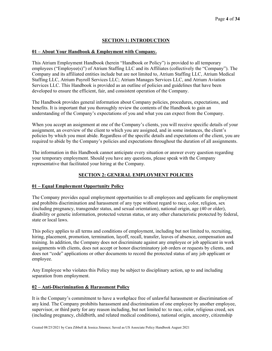# **SECTION 1: INTRODUCTION**

# **01 – About Your Handbook & Employment with Company.**

This Atrium Employment Handbook (herein "Handbook or Policy") is provided to all temporary employees ("Employee(s)") of Atrium Staffing LLC and its Affiliates (collectively the "Company"). The Company and its affiliated entities include but are not limited to, Atrium Staffing LLC, Atrium Medical Staffing LLC, Atrium Payroll Services LLC; Atrium Manages Services LLC, and Atrium Aviation Services LLC. This Handbook is provided as an outline of policies and guidelines that have been developed to ensure the efficient, fair, and consistent operation of the Company.

The Handbook provides general information about Company policies, procedures, expectations, and benefits. It is important that you thoroughly review the contents of the Handbook to gain an understanding of the Company's expectations of you and what you can expect from the Company.

When you accept an assignment at one of the Company's clients, you will receive specific details of your assignment, an overview of the client to which you are assigned, and in some instances, the client's policies by which you must abide. Regardless of the specific details and expectations of the client, you are required to abide by the Company's policies and expectations throughout the duration of all assignments.

The information in this Handbook cannot anticipate every situation or answer every question regarding your temporary employment. Should you have any questions, please speak with the Company representative that facilitated your hiring at the Company.

# **SECTION 2: GENERAL EMPLOYMENT POLICIES**

# **01 – Equal Employment Opportunity Policy**

The Company provides equal employment opportunities to all employees and applicants for employment and prohibits discrimination and harassment of any type without regard to race, color, religion, sex (including pregnancy, transgender status, and sexual orientation), national origin, age (40 or older), disability or genetic information, protected veteran status, or any other characteristic protected by federal, state or local laws.

This policy applies to all terms and conditions of employment, including but not limited to, recruiting, hiring, placement, promotion, termination, layoff, recall, transfer, leaves of absence, compensation and training. In addition, the Company does not discriminate against any employee or job applicant in work assignments with clients, does not accept or honor discriminatory job orders or requests by clients, and does not "code" applications or other documents to record the protected status of any job applicant or employee.

Any Employee who violates this Policy may be subject to disciplinary action, up to and including separation from employment.

#### **02 – Anti-Discrimination & Harassment Policy**

It is the Company's commitment to have a workplace free of unlawful harassment or discrimination of any kind. The Company prohibits harassment and discrimination of one employee by another employee, supervisor, or third party for any reason including, but not limited to: to race, color, religious creed, sex (including pregnancy, childbirth, and related medical conditions), national origin, ancestry, citizenship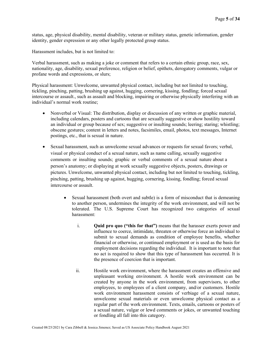status, age, physical disability, mental disability, veteran or military status, genetic information, gender identity, gender expression or any other legally protected group status.

Harassment includes, but is not limited to:

Verbal harassment, such as making a joke or comment that refers to a certain ethnic group, race, sex, nationality, age, disability, sexual preference, religion or belief, epithets, derogatory comments, vulgar or profane words and expressions, or slurs;

Physical harassment: Unwelcome, unwanted physical contact, including but not limited to touching, tickling, pinching, patting, brushing up against, hugging, cornering, kissing, fondling; forced sexual intercourse or assault., such as assault and blocking, impairing or otherwise physically interfering with an individual's normal work routine;

- Nonverbal or Visual: The distribution, display or discussion of any written or graphic material, including calendars, posters and cartoons that are sexually suggestive or show hostility toward an individual or group because of sex; suggestive or insulting sounds; leering; staring; whistling; obscene gestures; content in letters and notes, facsimiles, email, photos, text messages, Internet postings, etc., that is sexual in nature.
- Sexual harassment, such as unwelcome sexual advances or requests for sexual favors; verbal, visual or physical conduct of a sexual nature, such as name calling, sexually suggestive comments or insulting sounds; graphic or verbal comments of a sexual nature about a person's anatomy; or displaying at work sexually suggestive objects, posters, drawings or pictures. Unwelcome, unwanted physical contact, including but not limited to touching, tickling, pinching, patting, brushing up against, hugging, cornering, kissing, fondling; forced sexual intercourse or assault.
	- Sexual harassment (both overt and subtle) is a form of misconduct that is demeaning to another person, undermines the integrity of the work environment, and will not be tolerated. The U.S. Supreme Court has recognized two categories of sexual harassment:
		- i. **Quid pro quo ("this for that")** means that the harasser exerts power and influence to coerce, intimidate, threaten or otherwise force an individual to submit to sexual demands as condition of employee benefits, whether financial or otherwise, or continued employment or is used as the basis for employment decisions regarding the individual. It is important to note that no act is required to show that this type of harassment has occurred. It is the presence of coercion that is important.
		- ii. Hostile work environment, where the harassment creates an offensive and unpleasant working environment. A hostile work environment can be created by anyone in the work environment, from supervisors, to other employees, to employees of a client company, and/or customers. Hostile work environment harassment consists of verbiage of a sexual nature, unwelcome sexual materials or even unwelcome physical contact as a regular part of the work environment. Texts, emails, cartoons or posters of a sexual nature, vulgar or lewd comments or jokes, or unwanted touching or fondling all fall into this category.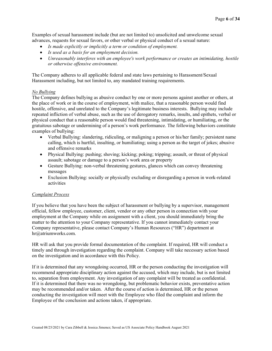Examples of sexual harassment include (but are not limited to) unsolicited and unwelcome sexual advances, requests for sexual favors, or other verbal or physical conduct of a sexual nature:

- *Is made explicitly or implicitly a term or condition of employment.*
- *Is used as a basis for an employment decision.*
- *Unreasonably interferes with an employee's work performance or creates an intimidating, hostile or otherwise offensive environment.*

The Company adheres to all applicable federal and state laws pertaining to Harassment/Sexual Harassment including, but not limited to, any mandated training requirements.

# *No Bullying*

The Company defines bullying as abusive conduct by one or more persons against another or others, at the place of work or in the course of employment, with malice, that a reasonable person would find hostile, offensive, and unrelated to the Company's legitimate business interests. Bullying may include repeated infliction of verbal abuse, such as the use of derogatory remarks, insults, and epithets, verbal or physical conduct that a reasonable person would find threatening, intimidating, or humiliating, or the gratuitous sabotage or undermining of a person's work performance. The following behaviors constitute examples of bullying:

- Verbal Bullying: slandering, ridiculing, or maligning a person or his/her family; persistent name calling, which is hurtful, insulting, or humiliating; using a person as the target of jokes; abusive and offensive remarks
- Physical Bullying: pushing; shoving; kicking; poking; tripping; assault, or threat of physical assault; sabotage or damage to a person's work area or property
- Gesture Bullying: non-verbal threatening gestures, glances which can convey threatening messages
- Exclusion Bullying: socially or physically excluding or disregarding a person in work-related activities

#### *Complaint Process*

If you believe that you have been the subject of harassment or bullying by a supervisor, management official, fellow employee, customer, client, vendor or any other person in connection with your employment at the Company while on assignment with a client, you should immediately bring the matter to the attention to your Company representative. If you cannot immediately contact your Company representative, please contact Company's Human Resources ("HR") department at hr@atriumworks.com.

HR will ask that you provide formal documentation of the complaint. If required, HR will conduct a timely and through investigation regarding the complaint. Company will take necessary action based on the investigation and in accordance with this Policy.

If it is determined that any wrongdoing occurred, HR or the person conducting the investigation will recommend appropriate disciplinary action against the accused, which may include, but is not limited to, separation from employment. Any investigation of any complaint will be treated as confidential. If it is determined that there was no wrongdoing, but problematic behavior exists, preventative action may be recommended and/or taken. After the course of action is determined, HR or the person conducting the investigation will meet with the Employee who filed the complaint and inform the Employee of the conclusion and actions taken, if appropriate.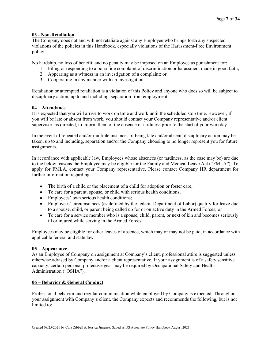# **03 - Non-Retaliation**

The Company does not and will not retaliate against any Employee who brings forth any suspected violations of the policies in this Handbook, especially violations of the Harassment-Free Environment policy.

No hardship, no loss of benefit, and no penalty may be imposed on an Employee as punishment for:

- 1. Filing or responding to a bona fide complaint of discrimination or harassment made in good faith;
- 2. Appearing as a witness in an investigation of a complaint; or
- 3. Cooperating in any manner with an investigation.

Retaliation or attempted retaliation is a violation of this Policy and anyone who does so will be subject to disciplinary action, up to and including, separation from employment.

# **04 – Attendance**

It is expected that you will arrive to work on time and work until the scheduled stop time. However, if you will be late or absent from work, you should contact your Company representative and/or client supervisor, as directed, to inform them of the absence or tardiness prior to the start of your workday.

In the event of repeated and/or multiple instances of being late and/or absent, disciplinary action may be taken, up to and including, separation and/or the Company choosing to no longer represent you for future assignments.

In accordance with applicable law, Employees whose absences (or tardiness, as the case may be) are due to the below reasons the Employee may be eligible for the Family and Medical Leave Act ("FMLA"). To apply for FMLA, contact your Company representative. Please contact Company HR department for further information regarding:

- The birth of a child or the placement of a child for adoption or foster care;
- To care for a parent, spouse, or child with serious health conditions;
- Employees' own serious health conditions;
- Employees' circumstances (as defined by the federal Department of Labor) qualify for leave due to a spouse, child, or parent being called up for or on active duty in the Armed Forces; or
- To care for a service member who is a spouse, child, parent, or next of kin and becomes seriously ill or injured while serving in the Armed Forces.

Employees may be eligible for other leaves of absence, which may or may not be paid, in accordance with applicable federal and state law.

# **05 – Appearance**

As an Employee of Company on assignment at Company's client, professional attire is suggested unless otherwise advised by Company and/or a client representative. If your assignment is of a safety sensitive capacity, certain personal protective gear may be required by Occupational Safety and Health Administration ("OSHA").

# **06 – Behavior & General Conduct**

Professional behavior and regular communication while employed by Company is expected. Throughout your assignment with Company's client, the Company expects and recommends the following, but is not limited to: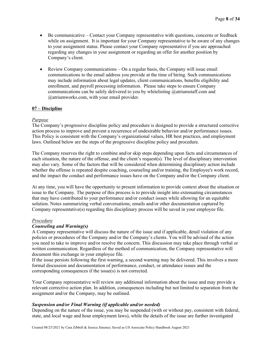- Be communicative Contact your Company representative with questions, concerns or feedback while on assignment. It is important for your Company representative to be aware of any changes to your assignment status. Please contact your Company representative if you are approached regarding any changes in your assignment or regarding an offer for another position by Company's client.
- $\bullet$  Review Company communications  $-$  On a regular basis, the Company will issue email communications to the email address you provide at the time of hiring. Such communications may include information about legal updates, client communications, benefits eligibility and enrollment, and payroll processing information. Please take steps to ensure Company communications can be safely delivered to you by whitelisting  $@$  atriumstaff.com and @atriumworks.com, with your email provider.

# **07 – Discipline**

#### *Purpose*

The Company's progressive discipline policy and procedure is designed to provide a structured corrective action process to improve and prevent a recurrence of undesirable behavior and/or performance issues. This Policy is consistent with the Company's organizational values, HR best practices, and employment laws. Outlined below are the steps of the progressive discipline policy and procedure.

The Company reserves the right to combine and/or skip steps depending upon facts and circumstances of each situation, the nature of the offense, and the client's request(s). The level of disciplinary intervention may also vary. Some of the factors that will be considered when determining disciplinary action include whether the offense is repeated despite coaching, counseling and/or training, the Employee's work record, and the impact the conduct and performance issues have on the Company and/or the Company client.

At any time, you will have the opportunity to present information to provide context about the situation or issue to the Company. The purpose of this process is to provide insight into extenuating circumstances that may have contributed to your performance and/or conduct issues while allowing for an equitable solution. Notes summarizing verbal conversations, emails and/or other documentation captured by Company representative(s) regarding this disciplinary process will be saved in your employee file.

#### *Procedure*

#### *Counseling and Warning(s)*

A Company representative will discuss the nature of the issue and if applicable, detail violation of any policies or procedures of the Company and/or the Company's clients. You will be advised of the action you need to take to improve and/or resolve the concern. This discussion may take place through verbal or written communication. Regardless of the method of communication, the Company representative will document this exchange in your employee file.

If the issue persists following the first warning, a second warning may be delivered. This involves a more formal discussion and documentation of performance, conduct, or attendance issues and the corresponding consequences if the issue(s) is not corrected.

Your Company representative will review any additional information about the issue and may provide a relevant corrective action plan. In addition, consequences including but not limited to separation from the assignment and/or the Company, may be outlined.

# *Suspension and/or Final Warning (if applicable and/or needed)*

Depending on the nature of the issue, you may be suspended (with or without pay, consistent with federal, state, and local wage and hour employment laws), while the details of the issue are further investigated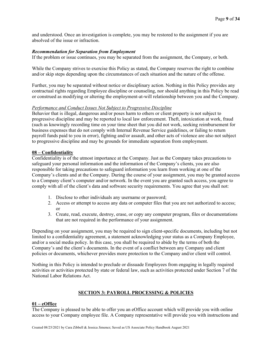and understood. Once an investigation is complete, you may be restored to the assignment if you are absolved of the issue or infraction.

#### *Recommendation for Separation from Employment*

If the problem or issue continues, you may be separated from the assignment, the Company, or both.

While the Company strives to exercise this Policy as stated, the Company reserves the right to combine and/or skip steps depending upon the circumstances of each situation and the nature of the offense.

Further, you may be separated without notice or disciplinary action. Nothing in this Policy provides any contractual rights regarding Employee discipline or counseling, nor should anything in this Policy be read or construed as modifying or altering the employment-at-will relationship between you and the Company.

#### *Performance and Conduct Issues Not Subject to Progressive Discipline*

Behavior that is illegal, dangerous and/or poses harm to others or client property is not subject to progressive discipline and may be reported to local law enforcement. Theft, intoxication at work, fraud (such as knowingly recording time on your time sheet that you did not work, seeking reimbursement for business expenses that do not comply with Internal Revenue Service guidelines, or failing to return payroll funds paid to you in error), fighting and/or assault, and other acts of violence are also not subject to progressive discipline and may be grounds for immediate separation from employment.

#### **08 – Confidentiality**

Confidentiality is of the utmost importance at the Company. Just as the Company takes precautions to safeguard your personal information and the information of the Company's clients, you are also responsible for taking precautions to safeguard information you learn from working at one of the Company's clients and at the Company. During the course of your assignment, you may be granted access to a Company client's computer and/or network. In the event you are granted such access, you agree to comply with all of the client's data and software security requirements. You agree that you shall not:

- 1. Disclose to other individuals any username or password;
- 2. Access or attempt to access any data or computer files that you are not authorized to access; or
- 3. Create, read, execute, destroy, erase, or copy any computer program, files or documentations that are not required in the performance of your assignment.

Depending on your assignment, you may be required to sign client-specific documents, including but not limited to a confidentiality agreement, a statement acknowledging your status as a Company Employee, and/or a social media policy. In this case, you shall be required to abide by the terms of both the Company's and the client's documents. In the event of a conflict between any Company and client policies or documents, whichever provides more protection to the Company and/or client will control.

Nothing in this Policy is intended to preclude or dissuade Employees from engaging in legally required activities or activities protected by state or federal law, such as activities protected under Section 7 of the National Labor Relations Act.

# **SECTION 3: PAYROLL PROCESSING & POLICIES**

#### **01 – eOffice**

The Company is pleased to be able to offer you an eOffice account which will provide you with online access to your Company employee file. A Company representative will provide you with instructions and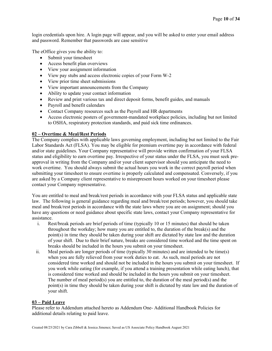login credentials upon hire. A login page will appear, and you will be asked to enter your email address and password. Remember that passwords are case sensitive

The eOffice gives you the ability to:

- Submit your timesheet
- Access benefit plan overviews
- View your assignment information
- View pay stubs and access electronic copies of your Form W-2
- View prior time sheet submissions
- View important announcements from the Company
- Ability to update your contact information
- Review and print various tax and direct deposit forms, benefit guides, and manuals
- Payroll and benefit calendars
- Contact Company resources such as the Payroll and HR departments
- Access electronic posters of government-mandated workplace policies, including but not limited to OSHA, respiratory protection standards, and paid sick time ordinances.

# **02 – Overtime & Meal/Rest Periods**

The Company complies with applicable laws governing employment, including but not limited to the Fair Labor Standards Act (FLSA). You may be eligible for premium overtime pay in accordance with federal and/or state guidelines. Your Company representative will provide written confirmation of your FLSA status and eligibility to earn overtime pay. Irrespective of your status under the FLSA, you must seek preapproval in writing from the Company and/or your client supervisor should you anticipate the need to work overtime. You should always submit the actual hours you work in the correct payroll period when submitting your timesheet to ensure overtime is properly calculated and compensated. Conversely, if you are asked by a Company client representative to misrepresent hours worked on your timesheet please contact your Company representative.

You are entitled to meal and break/rest periods in accordance with your FLSA status and applicable state law. The following is general guidance regarding meal and break/rest periods; however, you should take meal and break/rest periods in accordance with the state laws where you are on assignment; should you have any questions or need guidance about specific state laws, contact your Company representative for assistance.

- i. Rest/break periods are brief periods of time (typically 10 or 15 minutes) that should be taken throughout the workday; how many you are entitled to, the duration of the break(s) and the point(s) in time they should be taken during your shift are dictated by state law and the duration of your shift. Due to their brief nature, breaks are considered time worked and the time spent on breaks should be included in the hours you submit on your timesheet.
- ii. Meal periods are longer periods of time (typically 30 minutes) and are intended to be time(s) when you are fully relieved from your work duties to eat. As such, meal periods are not considered time worked and should not be included in the hours you submit on your timesheet. If you work while eating (for example, if you attend a training presentation while eating lunch), that is considered time worked and should be included in the hours you submit on your timesheet. The number of meal period(s) you are entitled to, the duration of the meal period(s) and the point(s) in time they should be taken during your shift is dictated by state law and the duration of your shift.

# **03 – Paid Leave**

Please refer to Addendum attached hereto as Addendum One- Additional Handbook Policies for additional details relating to paid leave.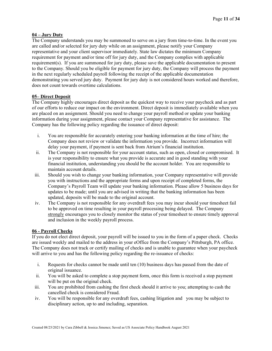# **04 – Jury Duty**

The Company understands you may be summoned to serve on a jury from time-to-time. In the event you are called and/or selected for jury duty while on an assignment, please notify your Company representative and your client supervisor immediately. State law dictates the minimum Company requirement for payment and/or time off for jury duty, and the Company complies with applicable requirement(s). If you are summoned for jury duty, please save the applicable documentation to present to the Company. Should you be eligible for payment for jury duty, the Company will process the payment in the next regularly scheduled payroll following the receipt of the applicable documentation demonstrating you served jury duty. Payment for jury duty is not considered hours worked and therefore, does not count towards overtime calculations.

# **05– Direct Deposit**

The Company highly encourages direct deposit as the quickest way to receive your paycheck and as part of our efforts to reduce our impact on the environment. Direct deposit is immediately available when you are placed on an assignment. Should you need to change your payroll method or update your banking information during your assignment, please contact your Company representative for assistance. The Company has the following policy regarding the issuance of direct deposit:

- i. You are responsible for accurately entering your banking information at the time of hire; the Company does not review or validate the information you provide. Incorrect information will delay your payment, if payment is sent back from Atrium's financial institution.
- ii. The Company is not responsible for your account status, such as open, closed or compromised. It is your responsibility to ensure what you provide is accurate and in good standing with your financial institution, understanding you should be the account holder. You are responsible to maintain account details.
- iii. Should you wish to change your banking information, your Company representative will provide you with instructions and the appropriate forms and upon receipt of completed forms, the Company's Payroll Team will update your banking information. Please allow 5 business days for updates to be made; until you are advised in writing that the banking information has been updated, deposits will be made to the original account.
- iv. The Company is not responsible for any overdraft fees you may incur should your timesheet fail to be approved on time resulting in your payroll processing being delayed. The Company strongly encourages you to closely monitor the status of your timesheet to ensure timely approval and inclusion in the weekly payroll process.

#### **06 - Payroll Checks**

If you do not elect direct deposit, your payroll will be issued to you in the form of a paper check. Checks are issued weekly and mailed to the address in your eOffice from the Company's Pittsburgh, PA office. The Company does not track or certify mailing of checks and is unable to guarantee when your paycheck will arrive to you and has the following policy regarding the re-issuance of checks:

- i. Requests for checks cannot be made until ten (10) business days has passed from the date of original issuance.
- ii. You will be asked to complete a stop payment form, once this form is received a stop payment will be put on the original check.
- iii. You are prohibited from cashing the first check should it arrive to you; attempting to cash the cancelled check is considered Fraud.
- iv. You will be responsible for any overdraft fees, cashing litigation and you may be subject to disciplinary action, up to and including, separation.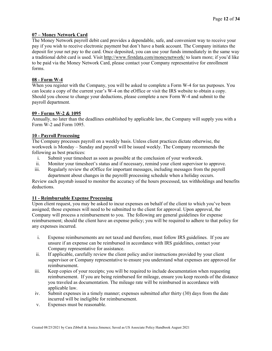# **07 – Money Network Card**

The Money Network payroll debit card provides a dependable, safe, and convenient way to receive your pay if you wish to receive electronic payment but don't have a bank account. The Company initiates the deposit for your net pay to the card. Once deposited, you can use your funds immediately in the same way a traditional debit card is used. Visit http://www.firstdata.com/moneynetwork/ to learn more; if you'd like to be paid via the Money Network Card, please contact your Company representative for enrollment forms.

# **08 - Form W-4**

When you register with the Company, you will be asked to complete a Form W-4 for tax purposes. You can locate a copy of the current year's W-4 on the eOffice or visit the IRS website to obtain a copy. Should you choose to change your deductions, please complete a new Form W-4 and submit to the payroll department.

# **09 - Forms W-2 & 1095**

Annually, no later than the deadlines established by applicable law, the Company will supply you with a Form W-2 and Form 1095.

# **10 - Payroll Processing**

The Company processes payroll on a weekly basis. Unless client practices dictate otherwise, the workweek is Monday – Sunday and payroll will be issued weekly. The Company recommends the following as best practices:

- i. Submit your timesheet as soon as possible at the conclusion of your workweek.
- ii. Monitor your timesheet's status and if necessary, remind your client supervisor to approve.
- iii. Regularly review the eOffice for important messages, including messages from the payroll department about changes in the payrolll processing schedule when a holiday occurs.

Review each paystub issued to monitor the accuracy of the hours processed, tax withholdings and benefits deductions.

# **11 - Reimbursable Expense Processing**

Upon client request, you may be asked to incur expenses on behalf of the client to which you've been assigned; those expenses will need to be submitted to the client for approval. Upon approval, the Company will process a reimbursement to you. The following are general guidelines for expense reimbursement; should the client have an expense policy; you will be required to adhere to that policy for any expenses incurred.

- i. Expense reimbursements are not taxed and therefore, must follow IRS guidelines. If you are unsure if an expense can be reimbursed in accordance with IRS guidelines, contact your Company representative for assistance.
- ii. If applicable, carefully review the client policy and/or instructions provided by your client supervisor or Company representative to ensure you understand what expenses are approved for reimbursement.
- iii. Keep copies of your receipts; you will be required to include documentation when requesting reimbursement. If you are being reimbursed for mileage, ensure you keep records of the distance you traveled as documentation. The mileage rate will be reimbursed in accordance with applicable law.
- iv. Submit expenses in a timely manner; expenses submitted after thirty (30) days from the date incurred will be ineligible for reimbursement.
- v. Expenses must be reasonable.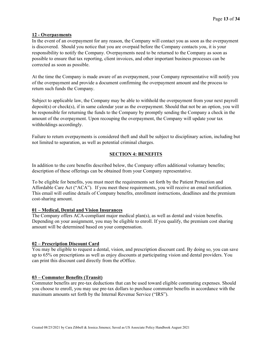# **12 - Overpayments**

In the event of an overpayment for any reason, the Company will contact you as soon as the overpayment is discovered. Should you notice that you are overpaid before the Company contacts you, it is your responsibility to notify the Company. Overpayments need to be returned to the Company as soon as possible to ensure that tax reporting, client invoices, and other important business processes can be corrected as soon as possible.

At the time the Company is made aware of an overpayment, your Company representative will notify you of the overpayment and provide a document confirming the overpayment amount and the process to return such funds the Company.

Subject to applicable law, the Company may be able to withhold the overpayment from your next payroll deposit(s) or check(s), if in same calendar year as the overpayment. Should that not be an option, you will be responsible for returning the funds to the Company by promptly sending the Company a check in the amount of the overpayment. Upon recouping the overpayment, the Company will update your tax withholdings accordingly.

Failure to return overpayments is considered theft and shall be subject to disciplinary action, including but not limited to separation, as well as potential criminal charges.

# **SECTION 4: BENEFITS**

In addition to the core benefits described below, the Company offers additional voluntary benefits; description of these offerings can be obtained from your Company representative.

To be eligible for benefits, you must meet the requirements set forth by the Patient Protection and Affordable Care Act ("ACA"). If you meet these requirements, you will receive an email notification. This email will outline details of Company benefits, enrollment instructions, deadlines and the premium cost-sharing amount.

#### **01 – Medical, Dental and Vision Insurances**

The Company offers ACA-compliant major medical plan(s), as well as dental and vision benefits. Depending on your assignment, you may be eligible to enroll. If you qualify, the premium cost sharing amount will be determined based on your compensation.

#### **02 – Prescription Discount Card**

You may be eligible to request a dental, vision, and prescription discount card. By doing so, you can save up to 65% on prescriptions as well as enjoy discounts at participating vision and dental providers. You can print this discount card directly from the eOffice.

#### **03 – Commuter Benefits (Transit)**

Commuter benefits are pre-tax deductions that can be used toward eligible commuting expenses. Should you choose to enroll, you may use pre-tax dollars to purchase commuter benefits in accordance with the maximum amounts set forth by the Internal Revenue Service ("IRS").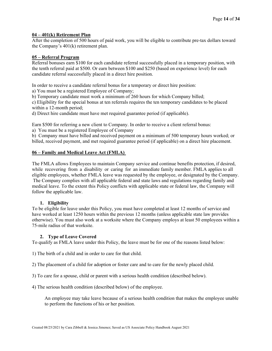# **04 – 401(k) Retirement Plan**

After the completion of 500 hours of paid work, you will be eligible to contribute pre-tax dollars toward the Company's 401(k) retirement plan.

# **05 – Referral Program**

Referral bonuses earn \$100 for each candidate referral successfully placed in a temporary position, with the tenth referral paid at \$500. Or earn between \$100 and \$250 (based on experience level) for each candidate referral successfully placed in a direct hire position.

In order to receive a candidate referral bonus for a temporary or direct hire position:

a) You must be a registered Employee of Company;

b) Temporary candidate must work a minimum of 260 hours for which Company billed;

c) Eligibility for the special bonus at ten referrals requires the ten temporary candidates to be placed within a 12-month period;

d) Direct hire candidate must have met required guarantee period (if applicable).

Earn \$500 for referring a new client to Company. In order to receive a client referral bonus:

a) You must be a registered Employee of Company

b) Company must have billed and received payment on a minimum of 500 temporary hours worked; or billed, received payment, and met required guarantee period (if applicable) on a direct hire placement.

# **06 – Family and Medical Leave Act (FMLA)**

The FMLA allows Employees to maintain Company service and continue benefits protection, if desired, while recovering from a disability or caring for an immediate family member. FMLA applies to all eligible employees, whether FMLA leave was requested by the employee, or designated by the Company. The Company complies with all applicable federal and state laws and regulations regarding family and medical leave. To the extent this Policy conflicts with applicable state or federal law, the Company will follow the applicable law.

#### **1. Eligibility**

To be eligible for leave under this Policy, you must have completed at least 12 months of service and have worked at least 1250 hours within the previous 12 months (unless applicable state law provides otherwise). You must also work at a worksite where the Company employs at least 50 employees within a 75-mile radius of that worksite.

#### **2. Type of Leave Covered**

To qualify as FMLA leave under this Policy, the leave must be for one of the reasons listed below:

1) The birth of a child and in order to care for that child.

2) The placement of a child for adoption or foster care and to care for the newly placed child.

3) To care for a spouse, child or parent with a serious health condition (described below).

4) The serious health condition (described below) of the employee.

An employee may take leave because of a serious health condition that makes the employee unable to perform the functions of his or her position.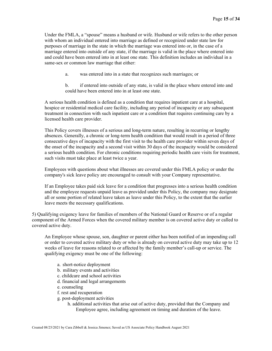Under the FMLA, a "spouse" means a husband or wife. Husband or wife refers to the other person with whom an individual entered into marriage as defined or recognized under state law for purposes of marriage in the state in which the marriage was entered into or, in the case of a marriage entered into outside of any state, if the marriage is valid in the place where entered into and could have been entered into in at least one state. This definition includes an individual in a same-sex or common law marriage that either:

- a. was entered into in a state that recognizes such marriages; or
- b. if entered into outside of any state, is valid in the place where entered into and could have been entered into in at least one state.

A serious health condition is defined as a condition that requires inpatient care at a hospital, hospice or residential medical care facility, including any period of incapacity or any subsequent treatment in connection with such inpatient care or a condition that requires continuing care by a licensed health care provider.

This Policy covers illnesses of a serious and long-term nature, resulting in recurring or lengthy absences. Generally, a chronic or long-term health condition that would result in a period of three consecutive days of incapacity with the first visit to the health care provider within seven days of the onset of the incapacity and a second visit within 30 days of the incapacity would be considered a serious health condition. For chronic conditions requiring periodic health care visits for treatment, such visits must take place at least twice a year.

Employees with questions about what illnesses are covered under this FMLA policy or under the company's sick leave policy are encouraged to consult with your Company representative.

If an Employee takes paid sick leave for a condition that progresses into a serious health condition and the employee requests unpaid leave as provided under this Policy, the company may designate all or some portion of related leave taken as leave under this Policy, to the extent that the earlier leave meets the necessary qualifications.

5) Qualifying exigency leave for families of members of the National Guard or Reserve or of a regular component of the Armed Forces when the covered military member is on covered active duty or called to covered active duty.

An Employee whose spouse, son, daughter or parent either has been notified of an impending call or order to covered active military duty or who is already on covered active duty may take up to 12 weeks of leave for reasons related to or affected by the family member's call-up or service. The qualifying exigency must be one of the following:

- a.  short-notice deployment
- b.  military events and activities
- c. childcare and school activities
- d. financial and legal arrangements
- e. counseling
- f. rest and recuperation
- g. post-deployment activities
	- h. additional activities that arise out of active duty, provided that the Company and Employee agree, including agreement on timing and duration of the leave.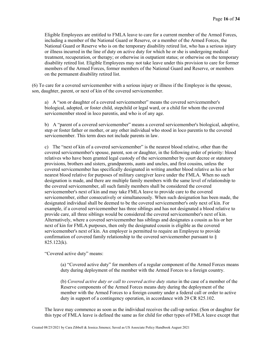Eligible Employees are entitled to FMLA leave to care for a current member of the Armed Forces, including a member of the National Guard or Reserve, or a member of the Armed Forces, the National Guard or Reserve who is on the temporary disability retired list, who has a serious injury or illness incurred in the line of duty on active duty for which he or she is undergoing medical treatment, recuperation, or therapy; or otherwise in outpatient status; or otherwise on the temporary disability retired list. Eligible Employees may not take leave under this provision to care for former members of the Armed Forces, former members of the National Guard and Reserve, or members on the permanent disability retired list.

(6) To care for a covered servicemember with a serious injury or illness if the Employee is the spouse, son, daughter, parent, or next of kin of the covered servicemember.

a)    A "son or daughter of a covered servicemember" means the covered servicemember's biological, adopted, or foster child, stepchild or legal ward, or a child for whom the covered servicemember stood in loco parentis, and who is of any age.

b)    A "parent of a covered servicemember" means a covered servicemember's biological, adoptive, step or foster father or mother, or any other individual who stood in loco parentis to the covered servicemember. This term does not include parents in law.

c)    The "next of kin of a covered servicemember" is the nearest blood relative, other than the covered servicemember's spouse, parent, son or daughter, in the following order of priority: blood relatives who have been granted legal custody of the servicemember by court decree or statutory provisions, brothers and sisters, grandparents, aunts and uncles, and first cousins, unless the covered servicemember has specifically designated in writing another blood relative as his or her nearest blood relative for purposes of military caregiver leave under the FMLA. When no such designation is made, and there are multiple family members with the same level of relationship to the covered servicemember, all such family members shall be considered the covered servicemember's next of kin and may take FMLA leave to provide care to the covered servicemember, either consecutively or simultaneously. When such designation has been made, the designated individual shall be deemed to be the covered servicemember's only next of kin. For example, if a covered servicemember has three siblings and has not designated a blood relative to provide care, all three siblings would be considered the covered servicemember's next of kin. Alternatively, where a covered servicemember has siblings and designates a cousin as his or her next of kin for FMLA purposes, then only the designated cousin is eligible as the covered servicemember's next of kin. An employer is permitted to require an Employee to provide confirmation of covered family relationship to the covered servicemember pursuant to § 825.122(k).

"Covered active duty" means:

(a) "Covered active duty" for members of a regular component of the Armed Forces means duty during deployment of the member with the Armed Forces to a foreign country.

(b) *Covered active duty or call to covered active duty status* in the case of a member of the Reserve components of the Armed Forces means duty during the deployment of the member with the Armed Forces to a foreign country under a federal call or order to active duty in support of a contingency operation, in accordance with 29 CR 825.102.

The leave may commence as soon as the individual receives the call-up notice. (Son or daughter for this type of FMLA leave is defined the same as for child for other types of FMLA leave except that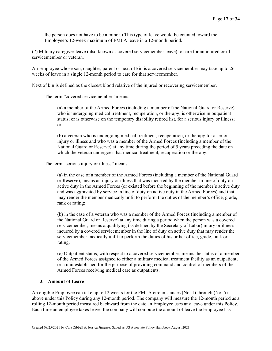the person does not have to be a minor.) This type of leave would be counted toward the Employee's 12-week maximum of FMLA leave in a 12-month period.

(7) Military caregiver leave (also known as covered servicemember leave) to care for an injured or ill servicemember or veteran.

An Employee whose son, daughter, parent or next of kin is a covered servicemember may take up to 26 weeks of leave in a single 12-month period to care for that servicemember.

Next of kin is defined as the closest blood relative of the injured or recovering servicemember.

The term "covered servicemember" means:

(a) a member of the Armed Forces (including a member of the National Guard or Reserve) who is undergoing medical treatment, recuperation, or therapy; is otherwise in outpatient status; or is otherwise on the temporary disability retired list, for a serious injury or illness; or

(b) a veteran who is undergoing medical treatment, recuperation, or therapy for a serious injury or illness and who was a member of the Armed Forces (including a member of the National Guard or Reserve) at any time during the period of 5 years preceding the date on which the veteran undergoes that medical treatment, recuperation or therapy.

The term "serious injury or illness" means:

(a) in the case of a member of the Armed Forces (including a member of the National Guard or Reserve), means an injury or illness that was incurred by the member in line of duty on active duty in the Armed Forces (or existed before the beginning of the member's active duty and was aggravated by service in line of duty on active duty in the Armed Forces) and that may render the member medically unfit to perform the duties of the member's office, grade, rank or rating;

(b) in the case of a veteran who was a member of the Armed Forces (including a member of the National Guard or Reserve) at any time during a period when the person was a covered servicemember, means a qualifying (as defined by the Secretary of Labor) injury or illness incurred by a covered servicemember in the line of duty on active duty that may render the servicemember medically unfit to perform the duties of his or her office, grade, rank or rating.

(c) Outpatient status, with respect to a covered servicemember, means the status of a member of the Armed Forces assigned to either a military medical treatment facility as an outpatient; or a unit established for the purpose of providing command and control of members of the Armed Forces receiving medical care as outpatients.

#### **3. Amount of Leave**

An eligible Employee can take up to 12 weeks for the FMLA circumstances (No. 1) through (No. 5) above under this Policy during any 12-month period. The company will measure the 12-month period as a rolling 12-month period measured backward from the date an Employee uses any leave under this Policy. Each time an employee takes leave, the company will compute the amount of leave the Employee has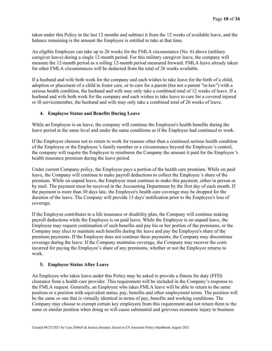taken under this Policy in the last 12 months and subtract it from the 12 weeks of available leave, and the balance remaining is the amount the Employee is entitled to take at that time.

An eligible Employee can take up to 26 weeks for the FMLA circumstance (No. 6) above (military caregiver leave) during a single 12-month period. For this military caregiver leave, the company will measure the 12-month period as a rolling 12-month period measured forward. FMLA leave already taken for other FMLA circumstances will be deducted from the total of 26 weeks available.

If a husband and wife both work for the company and each wishes to take leave for the birth of a child, adoption or placement of a child in foster care, or to care for a parent (but not a parent "in-law") with a serious health condition, the husband and wife may only take a combined total of 12 weeks of leave. If a husband and wife both work for the company and each wishes to take leave to care for a covered injured or ill servicemember, the husband and wife may only take a combined total of 26 weeks of leave.

# **4. Employee Status and Benefits During Leave**

While an Employee is on leave, the company will continue the Employee's health benefits during the leave period at the same level and under the same conditions as if the Employee had continued to work.

If the Employee chooses not to return to work for reasons other than a continued serious health condition of the Employee or the Employee 's family member or a circumstance beyond the Employee 's control, the company will require the Employee to reimburse the Company the amount it paid for the Employee 's health insurance premium during the leave period.

Under current Company policy, the Employee pays a portion of the health care premium. While on paid leave, the Company will continue to make payroll deductions to collect the Employee 's share of the premium. While on unpaid leave, the Employee must continue to make this payment, either in person or by mail. The payment must be received in the Accounting Department by the first day of each month. If the payment is more than 30 days late, the Employee's health care coverage may be dropped for the duration of the leave. The Company will provide 15 days' notification prior to the Employee's loss of coverage.

If the Employee contributes to a life insurance or disability plan, the Company will continue making payroll deductions while the Employee is on paid leave. While the Employee is on unpaid leave, the Employee may request continuation of such benefits and pay his or her portion of the premiums, or the Company may elect to maintain such benefits during the leave and pay the Employee's share of the premium payments. If the Employee does not continue these payments, the Company may discontinue coverage during the leave. If the Company maintains coverage, the Company may recover the costs incurred for paying the Employee's share of any premiums, whether or not the Employee returns to work.

#### **5. Employee Status After Leave**

An Employee who takes leave under this Policy may be asked to provide a fitness for duty (FFD) clearance from a health care provider. This requirement will be included in the Company's response to the FMLA request. Generally, an Employee who takes FMLA leave will be able to return to the same position or a position with equivalent status, pay, benefits and other employment terms. The position will be the same or one that is virtually identical in terms of pay, benefits and working conditions. The Company may choose to exempt certain key employees from this requirement and not return them to the same or similar position when doing so will cause substantial and grievous economic injury to business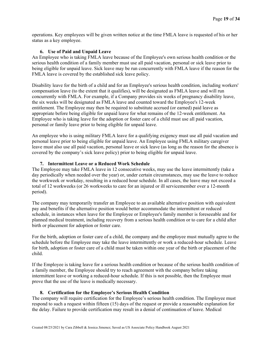operations. Key employees will be given written notice at the time FMLA leave is requested of his or her status as a key employee.

#### **6. Use of Paid and Unpaid Leave**

An Employee who is taking FMLA leave because of the Employee's own serious health condition or the serious health condition of a family member must use all paid vacation, personal or sick leave prior to being eligible for unpaid leave. Sick leave may be run concurrently with FMLA leave if the reason for the FMLA leave is covered by the established sick leave policy.

Disability leave for the birth of a child and for an Employee's serious health condition, including workers' compensation leave (to the extent that it qualifies), will be designated as FMLA leave and will run concurrently with FMLA. For example, if a Company provides six weeks of pregnancy disability leave, the six weeks will be designated as FMLA leave and counted toward the Employee's 12-week entitlement. The Employee may then be required to substitute accrued (or earned) paid leave as appropriate before being eligible for unpaid leave for what remains of the 12-week entitlement. An Employee who is taking leave for the adoption or foster care of a child must use all paid vacation, personal or family leave prior to being eligible for unpaid leave.

An employee who is using military FMLA leave for a qualifying exigency must use all paid vacation and personal leave prior to being eligible for unpaid leave. An Employee using FMLA military caregiver leave must also use all paid vacation, personal leave or sick leave (as long as the reason for the absence is covered by the company's sick leave policy) prior to being eligible for unpaid leave.

# **7. Intermittent Leave or a Reduced Work Schedule**

The Employee may take FMLA leave in 12 consecutive weeks, may use the leave intermittently (take a day periodically when needed over the year) or, under certain circumstances, may use the leave to reduce the workweek or workday, resulting in a reduced hour schedule. In all cases, the leave may not exceed a total of 12 workweeks (or 26 workweeks to care for an injured or ill servicemember over a 12-month period).

The company may temporarily transfer an Employee to an available alternative position with equivalent pay and benefits if the alternative position would better accommodate the intermittent or reduced schedule, in instances when leave for the Employee or Employee's family member is foreseeable and for planned medical treatment, including recovery from a serious health condition or to care for a child after birth or placement for adoption or foster care.

For the birth, adoption or foster care of a child, the company and the employee must mutually agree to the schedule before the Employee may take the leave intermittently or work a reduced-hour schedule. Leave for birth, adoption or foster care of a child must be taken within one year of the birth or placement of the child.

If the Employee is taking leave for a serious health condition or because of the serious health condition of a family member, the Employee should try to reach agreement with the company before taking intermittent leave or working a reduced-hour schedule. If this is not possible, then the Employee must prove that the use of the leave is medically necessary.

#### **8. Certification for the Employee's Serious Health Condition**

The company will require certification for the Employee's serious health condition. The Employee must respond to such a request within fifteen (15) days of the request or provide a reasonable explanation for the delay. Failure to provide certification may result in a denial of continuation of leave. Medical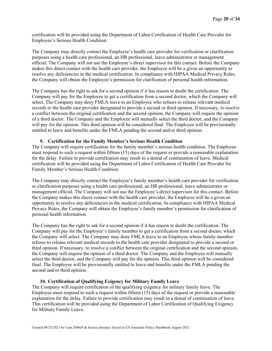certification will be provided using the Department of Labor Certification of Health Care Provider for Employee's Serious Health Condition.

The Company may directly contact the Employee's health care provider for verification or clarification purposes using a health care professional, an HR professional, leave administrator or management official. The Company will not use the Employee's direct supervisor for this contact. Before the Company makes this direct contact with the health care provider, the Employee will be a given an opportunity to resolve any deficiencies in the medical certification. In compliance with HIPAA Medical Privacy Rules, the Company will obtain the Employee's permission for clarification of personal health information.

The Company has the right to ask for a second opinion if it has reason to doubt the certification. The Company will pay for the Employee to get a certification from a second doctor, which the Company will select. The Company may deny FMLA leave to an Employee who refuses to release relevant medical records to the health care provider designated to provide a second or third opinion. If necessary, to resolve a conflict between the original certification and the second opinion, the Company will require the opinion of a third doctor. The Company and the Employee will mutually select the third doctor, and the Company will pay for the opinion. This third opinion will be considered final. The Employee will be provisionally entitled to leave and benefits under the FMLA pending the second and/or third opinion.

#### **9. Certification for the Family Member's Serious Health Condition**

The Company will require certification for the family member's serious health condition. The Employee must respond to such a request within fifteen (15) days of the request or provide a reasonable explanation for the delay. Failure to provide certification may result in a denial of continuation of leave. Medical certification will be provided using the Department of Labor Certification of Health Care Provider for Family Member's Serious Health Condition.

The Company may directly contact the Employee's family member's health care provider for verification or clarification purposes using a health care professional, an HR professional, leave administrator or management official. The Company will not use the Employee's direct supervisor for this contact. Before the Company makes this direct contact with the health care provider, the Employee will be a given an opportunity to resolve any deficiencies in the medical certification. In compliance with HIPAA Medical Privacy Rules, the Company will obtain the Employee's family member's permission for clarification of personal health information.

The Company has the right to ask for a second opinion if it has reason to doubt the certification. The Company will pay for the Employee's family member to get a certification from a second doctor, which the Company will select. The Company may deny FMLA leave to an Employee whose family member refuses to release relevant medical records to the health care provider designated to provide a second or third opinion. If necessary, to resolve a conflict between the original certification and the second opinion, the Company will require the opinion of a third doctor. The Company and the Employee will mutually select the third doctor, and the Company will pay for the opinion. This third opinion will be considered final. The Employee will be provisionally entitled to leave and benefits under the FMLA pending the second and/or third opinion.

# **10. Certification of Qualifying Exigency for Military Family Leave**

The Company will require certification of the qualifying exigency for military family leave. The Employee must respond to such a request within fifteen (15) days of the request or provide a reasonable explanation for the delay. Failure to provide certification may result in a denial of continuation of leave. This certification will be provided using the Department of Labor Certification of Qualifying Exigency for Military Family Leave.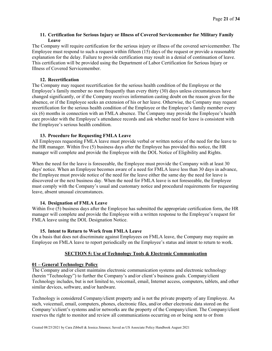# **11. Certification for Serious Injury or Illness of Covered Servicemember for Military Family Leave**

The Company will require certification for the serious injury or illness of the covered servicemember. The Employee must respond to such a request within fifteen (15) days of the request or provide a reasonable explanation for the delay. Failure to provide certification may result in a denial of continuation of leave. This certification will be provided using the Department of Labor Certification for Serious Injury or Illness of Covered Servicemember.

# **12. Recertification**

The Company may request recertification for the serious health condition of the Employee or the Employee's family member no more frequently than every thirty (30) days unless circumstances have changed significantly, or if the Company receives information casting doubt on the reason given for the absence, or if the Employee seeks an extension of his or her leave. Otherwise, the Company may request recertification for the serious health condition of the Employee or the Employee's family member every six (6) months in connection with an FMLA absence. The Company may provide the Employee's health care provider with the Employee's attendance records and ask whether need for leave is consistent with the Employee's serious health condition.

# **13. Procedure for Requesting FMLA Leave**

All Employees requesting FMLA leave must provide verbal or written notice of the need for the leave to the HR manager. Within five (5) business days after the Employee has provided this notice, the HR manager will complete and provide the Employee with the DOL Notice of Eligibility and Rights.

When the need for the leave is foreseeable, the Employee must provide the Company with at least 30 days' notice. When an Employee becomes aware of a need for FMLA leave less than 30 days in advance, the Employee must provide notice of the need for the leave either the same day the need for leave is discovered or the next business day. When the need for FMLA leave is not foreseeable, the Employee must comply with the Company's usual and customary notice and procedural requirements for requesting leave, absent unusual circumstances.

# **14. Designation of FMLA Leave**

Within five (5) business days after the Employee has submitted the appropriate certification form, the HR manager will complete and provide the Employee with a written response to the Employee's request for FMLA leave using the DOL Designation Notice.

# **15. Intent to Return to Work from FMLA Leave**

On a basis that does not discriminate against Employees on FMLA leave, the Company may require an Employee on FMLA leave to report periodically on the Employee's status and intent to return to work.

# **SECTION 5: Use of Technology Tools & Electronic Communication**

# **01 – General Technology Policy**

The Company and/or client maintains electronic communication systems and electronic technology (herein "Technology") to further the Company's and/or client's business goals. Company/client Technology includes, but is not limited to, voicemail, email, Internet access, computers, tablets, and other similar devices, software, and/or hardware.

Technology is considered Company/client property and is not the private property of any Employee. As such, voicemail, email, computers, phones, electronic files, and/or other electronic data stored on the Company's/client's systems and/or networks are the property of the Company/client. The Company/client reserves the right to monitor and review all communications occurring on or being sent to or from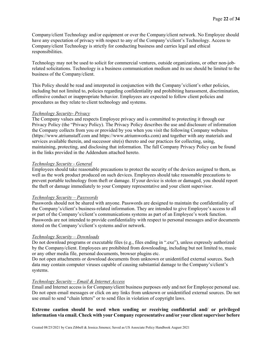Company/client Technology and/or equipment or over the Company/client network. No Employee should have any expectation of privacy with respect to any of the Company's/client's Technology. Access to Company/client Technology is strictly for conducting business and carries legal and ethical responsibilities.

Technology may not be used to solicit for commercial ventures, outside organizations, or other non-jobrelated solicitations. Technology is a business communication medium and its use should be limited to the business of the Company/client.

This Policy should be read and interpreted in conjunction with the Company's/client's other policies, including but not limited to, policies regarding confidentiality and prohibiting harassment, discrimination, offensive conduct or inappropriate behavior. Employees are expected to follow client policies and procedures as they relate to client technology and systems.

#### *Technology Security- Privacy*

The Company values and respects Employee privacy and is committed to protecting it through our Privacy Policy (the "Privacy Policy). The Privacy Policy describes the use and disclosure of information the Company collects from you or provided by you when you visit the following Company websites (https://www.atriumstaff.com and https://www.atriumworks.com) and together with any materials and services available therein, and successor site(s) thereto and our practices for collecting, using, maintaining, protecting, and disclosing that information. The full Company Privacy Policy can be found in the links provided in the Addendum attached hereto.

#### *Technology Security - General*

Employees should take reasonable precautions to protect the security of the devices assigned to them, as well as the work product produced on such devices. Employees should take reasonable precautions to prevent portable technology from theft or damage. If your device is stolen or damaged, you should report the theft or damage immediately to your Company representative and your client supervisor.

#### *Technology Security – Passwords*

Passwords should not be shared with anyone. Passwords are designed to maintain the confidentiality of the Company's/client's business-related information. They are intended to give Employee's access to all or part of the Company's/client's communications systems as part of an Employee's work function. Passwords are not intended to provide confidentiality with respect to personal messages and/or documents stored on the Company's/client's systems and/or network.

#### *Technology Security – Downloads*

Do not download programs or executable files (e.g., files ending in ".exe"), unless expressly authorized by the Company/client. Employees are prohibited from downloading, including but not limited to, music or any other media file, personal documents, browser plugins etc.

Do not open attachments or download documents from unknown or unidentified external sources. Such data may contain computer viruses capable of causing substantial damage to the Company's/client's systems.

#### *Technology Security – Email & Internet Access*

Email and Internet access is for Company/client business purposes only and not for Employee personal use. Do not open email messages or click on any links from unknown or unidentified external sources. Do not use email to send "chain letters" or to send files in violation of copyright laws.

# **Extreme caution should be used when sending or receiving confidential and/ or privileged information via email. Check with your Company representative and/or your client supervisor before**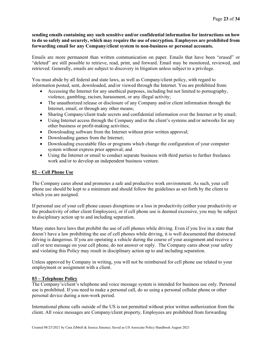# **sending emails containing any such sensitive and/or confidential information for instructions on how to do so safely and securely, which may require the use of encryption***.* **Employees are prohibited from forwarding email for any Company/client system to non-business or personal accounts.**

Emails are more permanent than written communication on paper. Emails that have been "erased" or "deleted" are still possible to retrieve, read, print, and forward. Email may be monitored, reviewed, and retrieved. Generally, emails are subject to discovery in litigation unless subject to a privilege.

You must abide by all federal and state laws, as well as Company/client policy, with regard to information posted, sent, downloaded, and/or viewed through the Internet. You are prohibited from:

- Accessing the Internet for any unethical purposes, including but not limited to pornography, violence, gambling, racism, harassment, or any illegal activity;
- The unauthorized release or disclosure of any Company and/or client information through the Internet, email, or through any other means;
- Sharing Company/client trade secrets and confidential information over the Internet or by email;
- Using Internet access through the Company and/or the client's systems and/or networks for any other business or profit-making activities;
- Downloading software from the Internet without prior written approval;
- Downloading games from the Internet;
- Downloading executable files or programs which change the configuration of your computer system without express prior approval; and
- Using the Internet or email to conduct separate business with third parties to further freelance work and/or to develop an independent business venture.

# **02 – Cell Phone Use**

The Company cares about and promotes a safe and productive work environment. As such, your cell phone use should be kept to a minimum and should follow the guidelines as set forth by the client to which you are assigned.

If personal use of your cell phone causes disruptions or a loss in productivity (either your productivity or the productivity of other client Employees), or if cell phone use is deemed excessive, you may be subject to disciplinary action up to and including separation.

Many states have laws that prohibit the use of cell phones while driving. Even if you live in a state that doesn't have a law prohibiting the use of cell phones while driving, it is well documented that distracted driving is dangerous. If you are operating a vehicle during the course of your assignment and receive a call or text message on your cell phone, do not answer or reply. The Company cares about your safety and violating this Policy may result in disciplinary action up to and including separation.

Unless approved by Company in writing, you will not be reimbursed for cell phone use related to your employment or assignment with a client.

# **03 – Telephone Policy**

The Company's/client's telephone and voice message system is intended for business use only. Personal use is prohibited. If you need to make a personal call, do so using a personal cellular phone or other personal device during a non-work period.

International phone calls outside of the US is not permitted without prior written authorization from the client. All voice messages are Company/client property, Employees are prohibited from forwarding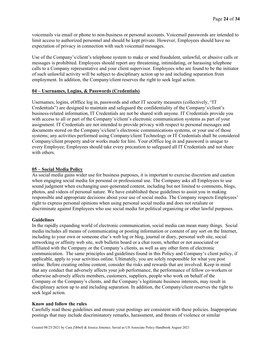voicemails via email or phone to non-business or personal accounts. Voicemail passwords are intended to limit access to authorized personnel and should be kept private. However, Employees should have no expectation of privacy in connection with such voicemail messages.

Use of the Company's/client's telephone system to make or send fraudulent, unlawful, or abusive calls or messages is prohibited. Employees should report any threatening, intimidating, or harassing telephone calls to a Company representative and your client supervisor. Employees who are found to be the initiator of such unlawful activity will be subject to disciplinary action up to and including separation from employment. In addition, the Company/client reserves the right to seek legal action.

#### **04 – Usernames, Logins, & Passwords (Credentials)**

Usernames, logins, eOffice log in, passwords and other IT security measures (collectively, "IT Credentials") are designed to maintain and safeguard the confidentiality of the Company's/client's business-related information, IT Credentials are not be shared with anyone. IT Credentials provide you with access to all or part of the Company's/client's electronic communication systems as part of your assignment. IT Credentials are not intended to provide privacy with respect to personal messages and documents stored on the Company's/client's electronic communications systems, or your use of those systems; any activities performed using Company/client Technology or IT Credentials shall be considered Company/client property and/or works made for hire. Your eOffice log in and password is unique to every Employee; Employees should take every precaution to safeguard all IT Credentials and not share with others.

#### **05 – Social Media Policy**

As social media gains wider use for business purposes, it is important to exercise discretion and caution when engaging social media for personal or professional use. The Company asks all Employees to use sound judgment when exchanging user-generated content, including but not limited to comments, blogs, photos, and videos of personal nature. We have established these guidelines to assist you in making responsible and appropriate decisions about your use of social media. The Company respects Employees' right to express personal opinions when using personal social media and does not retaliate or discriminate against Employees who use social media for political organizing or other lawful purposes.

### **Guidelines**

In the rapidly expanding world of electronic communication, social media can mean many things. Social media includes all means of communicating or posting information or content of any sort on the Internet, including to your own or someone else's web log or blog, journal or diary, personal web site, social networking or affinity web site, web bulletin board or a chat room, whether or not associated or affiliated with the Company or the Company's clients, as well as any other form of electronic communication. The same principles and guidelines found in this Policy and Company's client policy, if applicable, apply to your activities online. Ultimately, you are solely responsible for what you post online. Before creating online content, consider the risks and rewards that are involved. Keep in mind that any conduct that adversely affects your job performance, the performance of fellow co-workers or otherwise adversely affects members, customers, suppliers, people who work on behalf of the Company or the Company's clients, and the Company's legitimate business interests, may result in disciplinary action up to and including separation. In addition, the Company/client reserves the right to seek legal action.

#### **Know and follow the rules**

Carefully read these guidelines and ensure your postings are consistent with these policies. Inappropriate postings that may include discriminatory remarks, harassment, and threats of violence or similar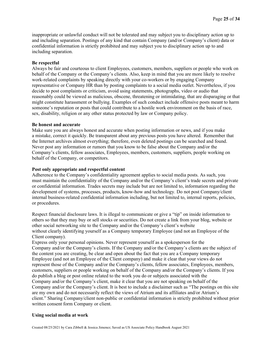inappropriate or unlawful conduct will not be tolerated and may subject you to disciplinary action up to and including separation. Postings of any kind that contain Company (and/or Company's client) data or confidential information is strictly prohibited and may subject you to disciplinary action up to and including separation.

#### **Be respectful**

Always be fair and courteous to client Employees, customers, members, suppliers or people who work on behalf of the Company or the Company's clients. Also, keep in mind that you are more likely to resolve work-related complaints by speaking directly with your co-workers or by engaging Company representative or Company HR than by posting complaints to a social media outlet. Nevertheless, if you decide to post complaints or criticism, avoid using statements, photographs, video or audio that reasonably could be viewed as malicious, obscene, threatening or intimidating, that are disparaging or that might constitute harassment or bullying. Examples of such conduct include offensive posts meant to harm someone's reputation or posts that could contribute to a hostile work environment on the basis of race, sex, disability, religion or any other status protected by law or Company policy.

# **Be honest and accurate**

Make sure you are always honest and accurate when posting information or news, and if you make a mistake, correct it quickly. Be transparent about any previous posts you have altered. Remember that the Internet archives almost everything; therefore, even deleted postings can be searched and found. Never post any information or rumors that you know to be false about the Company and/or the Company's clients, fellow associates, Employees, members, customers, suppliers, people working on behalf of the Company, or competitors.

# **Post only appropriate and respectful content**

Adherence to the Company's confidentiality agreement applies to social media posts. As such, you must maintain the confidentiality of the Company and/or the Company's client's trade secrets and private or confidential information. Trades secrets may include but are not limited to, information regarding the development of systems, processes, products, know-how and technology. Do not post Company/client internal business-related confidential information including, but not limited to, internal reports, policies, or procedures.

Respect financial disclosure laws. It is illegal to communicate or give a "tip" on inside information to others so that they may buy or sell stocks or securities. Do not create a link from your blog, website or other social networking site to the Company and/or the Company's client's website without clearly identifying yourself as a Company temporary Employee (and not an Employee of the Client company).

Express only your personal opinions. Never represent yourself as a spokesperson for the Company and/or the Company's clients. If the Company and/or the Company's clients are the subject of the content you are creating, be clear and open about the fact that you are a Company temporary Employee (and not an Employee of the Client company) and make it clear that your views do not represent those of the Company and/or the Company's clients, fellow associates, Employees, members, customers, suppliers or people working on behalf of the Company and/or the Company's clients. If you do publish a blog or post online related to the work you do or subjects associated with the Company and/or the Company's client, make it clear that you are not speaking on behalf of the Company and/or the Company's client. It is best to include a disclaimer such as "The postings on this site are my own and do not necessarily reflect the views of Atrium and its affiliates and/or Atrium's client." Sharing Company/client non-public or confidential information is strictly prohibited without prior written consent form Company or client.

# **Using social media at work**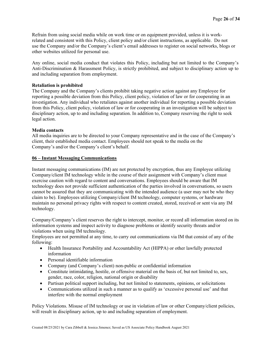Refrain from using social media while on work time or on equipment provided, unless it is workrelated and consistent with this Policy, client policy and/or client instructions, as applicable. Do not use the Company and/or the Company's client's email addresses to register on social networks, blogs or other websites utilized for personal use.

Any online, social media conduct that violates this Policy, including but not limited to the Company's Anti-Discrimination & Harassment Policy, is strictly prohibited, and subject to disciplinary action up to and including separation from employment.

# **Retaliation is prohibited**

The Company and the Company's clients prohibit taking negative action against any Employee for reporting a possible deviation from this Policy, client policy, violation of law or for cooperating in an investigation. Any individual who retaliates against another individual for reporting a possible deviation from this Policy, client policy, violation of law or for cooperating in an investigation will be subject to disciplinary action, up to and including separation. In addition to, Company reserving the right to seek legal action.

# **Media contacts**

All media inquiries are to be directed to your Company representative and in the case of the Company's client, their established media contact. Employees should not speak to the media on the Company's and/or the Company's client's behalf.

# **06 – Instant Messaging Communications**

Instant messaging communications (IM) are not protected by encryption, thus any Employee utilizing Company/client IM technology while in the course of their assignment with Company's client must exercise caution with regard to content and conversations. Employees should be aware that IM technology does not provide sufficient authentication of the parties involved in conversations, so users cannot be assured that they are communicating with the intended audience (a user may not be who they claim to be). Employees utilizing Company/client IM technology, computer systems, or hardware maintain no personal privacy rights with respect to content created, stored, received or sent via any IM technology.

Company/Company's client reserves the right to intercept, monitor, or record all information stored on its information systems and inspect activity to diagnose problems or identify security threats and/or violations when using IM technology.

Employees are not permitted at any time, to carry out communications via IM that consist of any of the following:

- Health Insurance Portability and Accountability Act (HIPPA) or other lawfully protected information
- Personal identifiable information
- Company (and Company's client) non-public or confidential information
- Constitute intimidating, hostile, or offensive material on the basis of, but not limited to, sex, gender, race, color, religion, national origin or disability
- Partisan political support including, but not limited to statements, opinions, or solicitations
- Communications utilized in such a manner as to qualify as 'excessive personal use' and that interfere with the normal employment

Policy Violations. Misuse of IM technology or use in violation of law or other Company/client policies, will result in disciplinary action, up to and including separation of employment.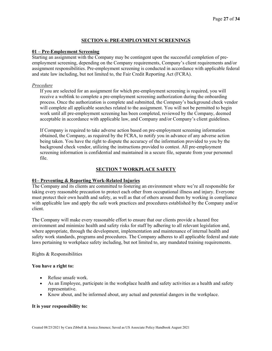# **SECTION 6: PRE-EMPLOYMENT SCREENINGS**

# **01 – Pre-Employment Screening**

Starting an assignment with the Company may be contingent upon the successful completion of preemployment screening, depending on the Company requirements, Company's client requirements and/or assignment responsibilities. Pre-employment screening is conducted in accordance with applicable federal and state law including, but not limited to, the Fair Credit Reporting Act (FCRA).

# *Procedure*

If you are selected for an assignment for which pre-employment screening is required, you will receive a weblink to complete a pre-employment screening authorization during the onboarding process. Once the authorization is complete and submitted, the Company's background check vendor will complete all applicable searches related to the assignment. You will not be permitted to begin work until all pre-employment screening has been completed, reviewed by the Company, deemed acceptable in accordance with applicable law, and Company and/or Company's client guidelines.

If Company is required to take adverse action based on pre-employment screening information obtained, the Company, as required by the FCRA, to notify you in advance of any adverse action being taken. You have the right to dispute the accuracy of the information provided to you by the background check vendor, utilizing the instructions provided to contest. All pre-employment screening information is confidential and maintained in a secure file, separate from your personnel file.

# **SECTION 7 WORKPLACE SAFETY**

# **01– Preventing & Reporting Work-Related Injuries**

The Company and its clients are committed to fostering an environment where we're all responsible for taking every reasonable precaution to protect each other from occupational illness and injury. Everyone must protect their own health and safety, as well as that of others around them by working in compliance with applicable law and apply the safe work practices and procedures established by the Company and/or client.

The Company will make every reasonable effort to ensure that our clients provide a hazard free environment and minimize health and safety risks for staff by adhering to all relevant legislation and, where appropriate, through the development, implementation and maintenance of internal health and safety work standards, programs and procedures. The Company adheres to all applicable federal and state laws pertaining to workplace safety including, but not limited to, any mandated training requirements.

Rights & Responsibilities

# **You have a right to:**

- Refuse unsafe work.
- As an Employee, participate in the workplace health and safety activities as a health and safety representative.
- Know about, and be informed about, any actual and potential dangers in the workplace.

#### **It is your responsibility to:**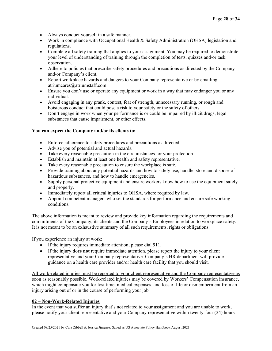- Always conduct yourself in a safe manner.
- Work in compliance with Occupational Health & Safety Administration (OHSA) legislation and regulations.
- Complete all safety training that applies to your assignment. You may be required to demonstrate your level of understanding of training through the completion of tests, quizzes and/or task observation.
- Adhere to policies that prescribe safety procedures and precautions as directed by the Company and/or Company's client.
- Report workplace hazards and dangers to your Company representative or by emailing atriumcares@atriumstaff.com
- Ensure you don't use or operate any equipment or work in a way that may endanger you or any individual.
- Avoid engaging in any prank, contest, feat of strength, unnecessary running, or rough and boisterous conduct that could pose a risk to your safety or the safety of others.
- Don't engage in work when your performance is or could be impaired by illicit drugs, legal substances that cause impairment, or other effects.

# **You can expect the Company and/or its clients to:**

- Enforce adherence to safety procedures and precautions as directed.
- Advise you of potential and actual hazards.
- Take every reasonable precaution in the circumstances for your protection.
- Establish and maintain at least one health and safety representative.
- Take every reasonable precaution to ensure the workplace is safe.
- Provide training about any potential hazards and how to safely use, handle, store and dispose of hazardous substances, and how to handle emergencies.
- Supply personal protective equipment and ensure workers know how to use the equipment safely and properly.
- Immediately report all critical injuries to OHSA, where required by law.
- Appoint competent managers who set the standards for performance and ensure safe working conditions.

The above information is meant to review and provide key information regarding the requirements and commitments of the Company, its clients and the Company's Employees in relation to workplace safety. It is not meant to be an exhaustive summary of all such requirements, rights or obligations.

If you experience an injury at work:

- If the injury requires immediate attention, please dial 911.
- If the injury **does not** require immediate attention, please report the injury to your client representative and your Company representative. Company's HR department will provide guidance on a health care provider and/or health care facility that you should visit.

All work-related injuries must be reported to your client representative and the Company representative as soon as reasonably possible. Work-related injuries may be covered by Workers' Compensation insurance, which might compensate you for lost time, medical expenses, and loss of life or dismemberment from an injury arising out of or in the course of performing your job.

#### **02 – Non-Work-Related Injuries**

In the event that you suffer an injury that's not related to your assignment and you are unable to work, please notify your client representative and your Company representative within twenty-four (24) hours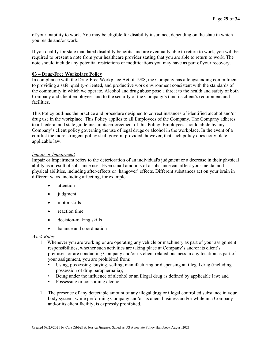of your inability to work. You may be eligible for disability insurance, depending on the state in which you reside and/or work.

If you qualify for state mandated disability benefits, and are eventually able to return to work, you will be required to present a note from your healthcare provider stating that you are able to return to work. The note should include any potential restrictions or modifications you may have as part of your recovery.

#### **03 – Drug-Free Workplace Policy**

In compliance with the Drug-Free Workplace Act of 1988, the Company has a longstanding commitment to providing a safe, quality-oriented, and productive work environment consistent with the standards of the community in which we operate. Alcohol and drug abuse pose a threat to the health and safety of both Company and client employees and to the security of the Company's (and its client's) equipment and facilities.

This Policy outlines the practice and procedure designed to correct instances of identified alcohol and/or drug use in the workplace. This Policy applies to all Employees of the Company. The Company adheres to all federal and state guidelines in its enforcement of this Policy. Employees should abide by any Company's client policy governing the use of legal drugs or alcohol in the workplace. In the event of a conflict the more stringent policy shall govern; provided, however, that such policy does not violate applicable law.

# *Impair or Impairment*

Impair or Impairment refers to the deterioration of an individual's judgment or a decrease in their physical ability as a result of substance use. Even small amounts of a substance can affect your mental and physical abilities, including after-effects or 'hangover' effects. Different substances act on your brain in different ways, including affecting, for example:

- attention
- judgment
- motor skills
- reaction time
- decision-making skills
- balance and coordination

## *Work Rules*

- 1. Whenever you are working or are operating any vehicle or machinery as part of your assignment responsibilities, whether such activities are taking place at Company's and/or its client's premises, or are conducting Company and/or its client related business in any location as part of your assignment, you are prohibited from:
	- Using, possessing, buying, selling, manufacturing or dispensing an illegal drug (including possession of drug paraphernalia);
	- Being under the influence of alcohol or an illegal drug as defined by applicable law; and
	- Possessing or consuming alcohol.
- 1. The presence of any detectable amount of any illegal drug or illegal controlled substance in your body system, while performing Company and/or its client business and/or while in a Company and/or its client facility, is expressly prohibited.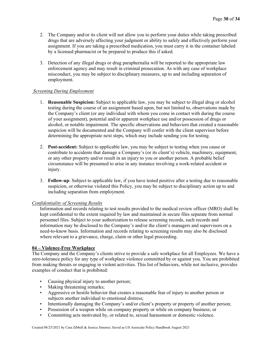- 2. The Company and/or its client will not allow you to perform your duties while taking prescribed drugs that are adversely affecting your judgment or ability to safely and effectively perform your assignment. If you are taking a prescribed medication, you must carry it in the container labeled by a licensed pharmacist or be prepared to produce this if asked.
- 3. Detection of any illegal drugs or drug paraphernalia will be reported to the appropriate law enforcement agency and may result in criminal prosecution. As with any case of workplace misconduct, you may be subject to disciplinary measures, up to and including separation of employment.

# *Screening During Employment*

- 1. **Reasonable Suspicion:** Subject to applicable law, you may be subject to illegal drug or alcohol testing during the course of an assignment based upon, but not limited to, observations made by the Company's client (or any individual with whom you come in contact with during the course of your assignment), potential and/or apparent workplace use and/or possession of drugs or alcohol, or notable impairment. The specific observations and behaviors that created a reasonable suspicion will be documented and the Company will confer with the client supervisor before determining the appropriate next steps, which may include sending you for testing.
- 2. **Post-accident:** Subject to applicable law, you may be subject to testing when you cause or contribute to accidents that damage a Company's (or its client's) vehicle, machinery, equipment, or any other property and/or result in an injury to you or another person. A probable belief circumstance will be presumed to arise in any instance involving a work-related accident or injury.
- 3. **Follow-up**: Subject to applicable law, if you have tested positive after a testing due to reasonable suspicion, or otherwise violated this Policy, you may be subject to disciplinary action up to and including separation from employment.

#### *Confidentiality of Screening Results*

Information and records relating to test results provided to the medical review officer (MRO) shall be kept confidential to the extent required by law and maintained in secure files separate from normal personnel files. Subject to your authorization to release screening records, such records and information may be disclosed to the Company's and/or the client's managers and supervisors on a need-to-know basis. Information and records relating to screening results may also be disclosed where relevant to a grievance, charge, claim or other legal proceeding.

#### **04 – Violence-Free Workplace**

The Company and the Company's clients strive to provide a safe workplace for all Employees. We have a zero-tolerance policy for any type of workplace violence committed by or against you. You are prohibited from making threats or engaging in violent activities. This list of behaviors, while not inclusive, provides examples of conduct that is prohibited:

- Causing physical injury to another person;
- Making threatening remarks;
- Aggressive or hostile behavior that creates a reasonable fear of injury to another person or subjects another individual to emotional distress;
- Intentionally damaging the Company's and/or client's property or property of another person;
- Possession of a weapon while on company property or while on company business; or
- Committing acts motivated by, or related to, sexual harassment or domestic violence.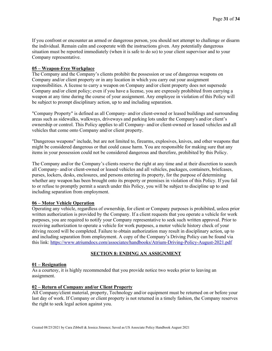If you confront or encounter an armed or dangerous person, you should not attempt to challenge or disarm the individual. Remain calm and cooperate with the instructions given. Any potentially dangerous situation must be reported immediately (when it is safe to do so) to your client supervisor and to your Company representative.

# **05 – Weapon-Free Workplace**

The Company and the Company's clients prohibit the possession or use of dangerous weapons on Company and/or client property or in any location in which you carry out your assignment responsibilities. A license to carry a weapon on Company and/or client property does not supersede Company and/or client policy; even if you have a license, you are expressly prohibited from carrying a weapon at any time during the course of your assignment. Any employee in violation of this Policy will be subject to prompt disciplinary action, up to and including separation.

"Company Property" is defined as all Company- and/or client-owned or leased buildings and surrounding areas such as sidewalks, walkways, driveways and parking lots under the Company's and/or client's ownership or control. This Policy applies to all Company- and/or client-owned or leased vehicles and all vehicles that come onto Company and/or client property.

"Dangerous weapons" include, but are not limited to, firearms, explosives, knives, and other weapons that might be considered dangerous or that could cause harm. You are responsible for making sure that any items in your possession could not be considered dangerous and therefore, prohibited by this Policy.

The Company and/or the Company's clients reserve the right at any time and at their discretion to search all Company- and/or client-owned or leased vehicles and all vehicles, packages, containers, briefcases, purses, lockers, desks, enclosures, and persons entering its property, for the purpose of determining whether any weapon has been brought onto its property or premises in violation of this Policy. If you fail to or refuse to promptly permit a search under this Policy, you will be subject to discipline up to and including separation from employment.

# **06 – Motor Vehicle Operation**

Operating any vehicle, regardless of ownership, for client or Company purposes is prohibited, unless prior written authorization is provided by the Company. If a client requests that you operate a vehicle for work purposes, you are required to notify your Company representative to seek such written approval. Prior to receiving authorization to operate a vehicle for work purposes, a motor vehicle history check of your driving record will be completed. Failure to obtain authorization may result in disciplinary action, up to and including separation from employment. A copy of the Company's Driving Policy can be found via this link: https://www.atriumdocs.com/associates/handbooks/Atrium-Driving-Policy-August-2021.pdf

# **SECTION 8: ENDING AN ASSIGNMENT**

# **01 – Resignation**

As a courtesy, it is highly recommended that you provide notice two weeks prior to leaving an assignment.

# **02 – Return of Company and/or Client Property**

All Company/client material, property, Technology and/or equipment must be returned on or before your last day of work. If Company or client property is not returned in a timely fashion, the Company reserves the right to seek legal action against you.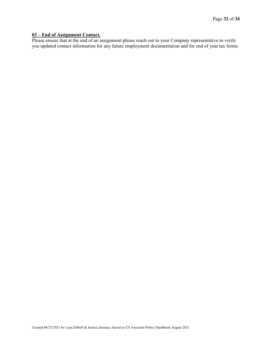#### **03 – End of Assignment Contact.**

Please ensure that at the end of an assignment please reach out to your Company representative to verify you updated contact information for any future employment documentation and for end of year tax forms.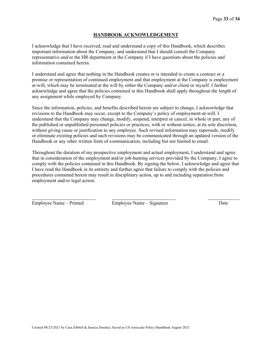# **HANDBOOK ACKNOWLEDGEMENT**

I acknowledge that I have received, read and understand a copy of this Handbook, which describes important information about the Company, and understand that I should consult the Company representative and/or the HR department at the Company if I have questions about the policies and information contained herein.

I understand and agree that nothing in the Handbook creates or is intended to create a contract or a promise or representation of continued employment and that employment at the Company is employment at-will, which may be terminated at the will by either the Company and/or client or myself. I further acknowledge and agree that the policies contained in this Handbook shall apply throughout the length of any assignment while employed by Company.

Since the information, policies, and benefits described herein are subject to change, I acknowledge that revisions to the Handbook may occur, except to the Company's policy of employment-at-will. I understand that the Company may change, modify, suspend, interpret or cancel, in whole or part, any of the published or unpublished personnel policies or practices, with or without notice, at its sole discretion, without giving cause or justification to any employee. Such revised information may supersede, modify or eliminate existing policies and such revisions may be communicated through an updated version of the Handbook or any other written form of communication, including but not limited to email.

Throughout the duration of my prospective employment and actual employment, I understand and agree that in consideration of the employment and/or job-hunting services provided by the Company, I agree to comply with the policies contained in this Handbook. By signing the below, I acknowledge and agree that I have read the Handbook in its entirety and further agree that failure to comply with the policies and procedures contained herein may result in disciplinary action, up to and including separation from employment and/or legal action.

 $\overline{a}$ 

Employee Name – Printed Employee Name – Signature Date